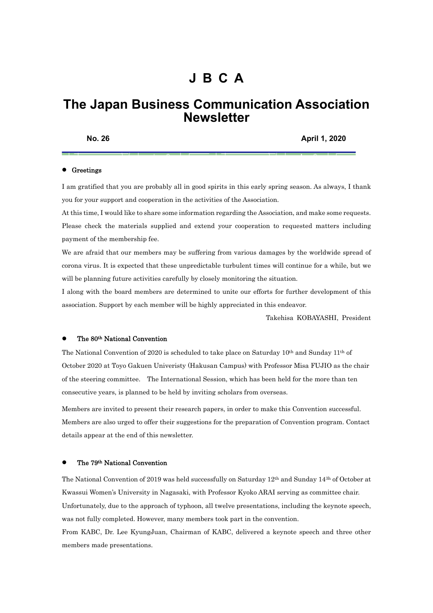# **J B C A**

# **The Japan Business Communication Association Newsletter**

**No. 26 April 1, 2020** 

#### **•** Greetings

I am gratified that you are probably all in good spirits in this early spring season. As always, I thank you for your support and cooperation in the activities of the Association.

At this time, I would like to share some information regarding the Association, and make some requests. Please check the materials supplied and extend your cooperation to requested matters including payment of the membership fee.

We are afraid that our members may be suffering from various damages by the worldwide spread of corona virus. It is expected that these unpredictable turbulent times will continue for a while, but we will be planning future activities carefully by closely monitoring the situation.

I along with the board members are determined to unite our efforts for further development of this association. Support by each member will be highly appreciated in this endeavor.

Takehisa KOBAYASHI, President

#### The 80th National Convention

The National Convention of 2020 is scheduled to take place on Saturday 10th and Sunday 11th of October 2020 at Toyo Gakuen Univeristy (Hakusan Campus) with Professor Misa FUJIO as the chair of the steering committee. The International Session, which has been held for the more than ten consecutive years, is planned to be held by inviting scholars from overseas.

Members are invited to present their research papers, in order to make this Convention successful. Members are also urged to offer their suggestions for the preparation of Convention program. Contact details appear at the end of this newsletter.

#### The 79th National Convention

The National Convention of 2019 was held successfully on Saturday 12th and Sunday 143h of October at Kwassui Women's University in Nagasaki, with Professor Kyoko ARAI serving as committee chair. Unfortunately, due to the approach of typhoon, all twelve presentations, including the keynote speech, was not fully completed. However, many members took part in the convention.

From KABC, Dr. Lee KyungJuan, Chairman of KABC, delivered a keynote speech and three other members made presentations.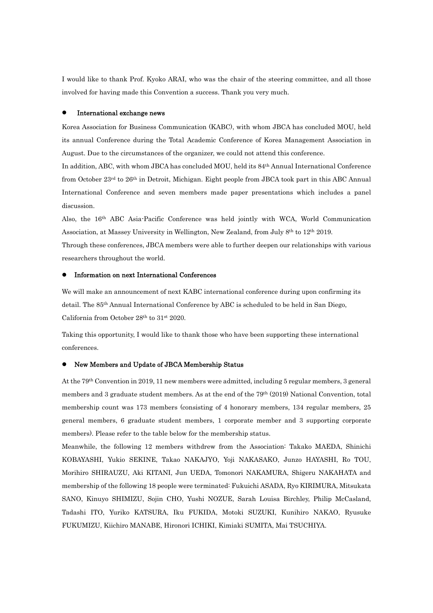I would like to thank Prof. Kyoko ARAI, who was the chair of the steering committee, and all those involved for having made this Convention a success. Thank you very much.

#### International exchange news

Korea Association for Business Communication (KABC), with whom JBCA has concluded MOU, held its annual Conference during the Total Academic Conference of Korea Management Association in August. Due to the circumstances of the organizer, we could not attend this conference.

In addition, ABC, with whom JBCA has concluded MOU, held its 84th Annual International Conference from October 23<sup>rd</sup> to 26<sup>th</sup> in Detroit, Michigan. Eight people from JBCA took part in this ABC Annual International Conference and seven members made paper presentations which includes a panel discussion.

Also, the 16th ABC Asia-Pacific Conference was held jointly with WCA, World Communication Association, at Massey University in Wellington, New Zealand, from July 8th to 12th 2019.

Through these conferences, JBCA members were able to further deepen our relationships with various researchers throughout the world.

#### Information on next International Conferences

We will make an announcement of next KABC international conference during upon confirming its detail. The 85th Annual International Conference by ABC is scheduled to be held in San Diego, California from October 28th to 31st 2020.

Taking this opportunity, I would like to thank those who have been supporting these international conferences.

## New Members and Update of JBCA Membership Status

At the 79th Convention in 2019, 11 new members were admitted, including 5 regular members, 3 general members and 3 graduate student members. As at the end of the 79<sup>th</sup> (2019) National Convention, total membership count was 173 members (consisting of 4 honorary members, 134 regular members, 25 general members, 6 graduate student members, 1 corporate member and 3 supporting corporate members). Please refer to the table below for the membership status.

Meanwhile, the following 12 members withdrew from the Association: Takako MAEDA, Shinichi KOBAYASHI, Yukio SEKINE, Takao NAKAJYO, Yoji NAKASAKO, Junzo HAYASHI, Ro TOU, Morihiro SHIRAUZU, Aki KITANI, Jun UEDA, Tomonori NAKAMURA, Shigeru NAKAHATA and membership of the following 18 people were terminated: Fukuichi ASADA, Ryo KIRIMURA, Mitsukata SANO, Kinuyo SHIMIZU, Sojin CHO, Yushi NOZUE, Sarah Louisa Birchley, Philip McCasland, Tadashi ITO, Yuriko KATSURA, Iku FUKIDA, Motoki SUZUKI, Kunihiro NAKAO, Ryusuke FUKUMIZU, Kiichiro MANABE, Hironori ICHIKI, Kimiaki SUMITA, Mai TSUCHIYA.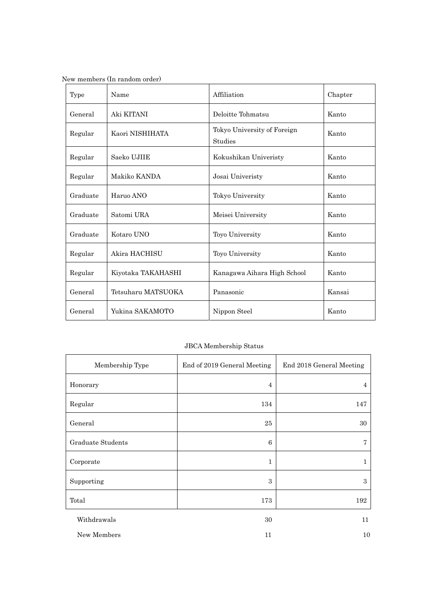| New members (In random order) |  |  |
|-------------------------------|--|--|
|                               |  |  |

| Type     | Name               | Affiliation                            | Chapter |
|----------|--------------------|----------------------------------------|---------|
| General  | Aki KITANI         | Deloitte Tohmatsu                      | Kanto   |
| Regular  | Kaori NISHIHATA    | Tokyo University of Foreign<br>Studies | Kanto   |
| Regular  | Saeko UJIIE        | Kokushikan Univeristy                  | Kanto   |
| Regular  | Makiko KANDA       | Josai Univeristy                       | Kanto   |
| Graduate | Haruo ANO          | Tokyo University                       | Kanto   |
| Graduate | Satomi URA         | Meisei University                      | Kanto   |
| Graduate | Kotaro UNO         | Toyo University                        | Kanto   |
| Regular  | Akira HACHISU      | <b>Toyo University</b>                 | Kanto   |
| Regular  | Kiyotaka TAKAHASHI | Kanagawa Aihara High School            | Kanto   |
| General  | Tetsuharu MATSUOKA | Panasonic                              | Kansai  |
| General  | Yukina SAKAMOTO    | Nippon Steel                           | Kanto   |

# JBCA Membership Status

| Membership Type   | End of 2019 General Meeting | End 2018 General Meeting |
|-------------------|-----------------------------|--------------------------|
| Honorary          | 4                           | 4                        |
| Regular           | 134                         | 147                      |
| General           | 25                          | 30                       |
| Graduate Students | 6                           | 7                        |
| Corporate         | 1                           | 1                        |
| Supporting        | $\boldsymbol{3}$            | $\,3$                    |
| Total             | 173                         | 192                      |
| Withdrawals       | 30                          | 11                       |
| New Members       | 11                          | 10                       |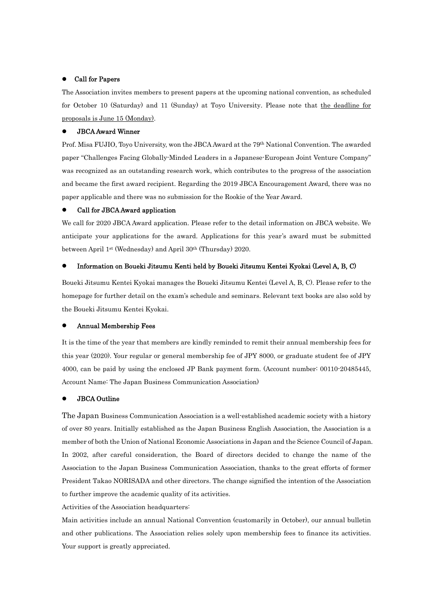### Call for Papers

The Association invites members to present papers at the upcoming national convention, as scheduled for October 10 (Saturday) and 11 (Sunday) at Toyo University. Please note that the deadline for proposals is June 15 (Monday).

## JBCA Award Winner

Prof. Misa FUJIO, Toyo University, won the JBCA Award at the 79<sup>th</sup> National Convention. The awarded paper "Challenges Facing Globally-Minded Leaders in a Japanese-European Joint Venture Company" was recognized as an outstanding research work, which contributes to the progress of the association and became the first award recipient. Regarding the 2019 JBCA Encouragement Award, there was no paper applicable and there was no submission for the Rookie of the Year Award.

### Call for JBCA Award application

We call for 2020 JBCA Award application. Please refer to the detail information on JBCA website. We anticipate your applications for the award. Applications for this year's award must be submitted between April 1st (Wednesday) and April 30th (Thursday) 2020.

## Information on Boueki Jitsumu Kenti held by Boueki Jitsumu Kentei Kyokai (Level A, B, C)

Boueki Jitsumu Kentei Kyokai manages the Boueki Jitsumu Kentei (Level A, B, C). Please refer to the homepage for further detail on the exam's schedule and seminars. Relevant text books are also sold by the Boueki Jitsumu Kentei Kyokai.

#### Annual Membership Fees

It is the time of the year that members are kindly reminded to remit their annual membership fees for this year (2020). Your regular or general membership fee of JPY 8000, or graduate student fee of JPY 4000, can be paid by using the enclosed JP Bank payment form. (Account number: 00110-20485445, Account Name: The Japan Business Communication Association)

## JBCA Outline

The Japan Business Communication Association is a well-established academic society with a history of over 80 years. Initially established as the Japan Business English Association, the Association is a member of both the Union of National Economic Associations in Japan and the Science Council of Japan. In 2002, after careful consideration, the Board of directors decided to change the name of the Association to the Japan Business Communication Association, thanks to the great efforts of former President Takao NORISADA and other directors. The change signified the intention of the Association to further improve the academic quality of its activities.

Activities of the Association headquarters:

Main activities include an annual National Convention (customarily in October), our annual bulletin and other publications. The Association relies solely upon membership fees to finance its activities. Your support is greatly appreciated.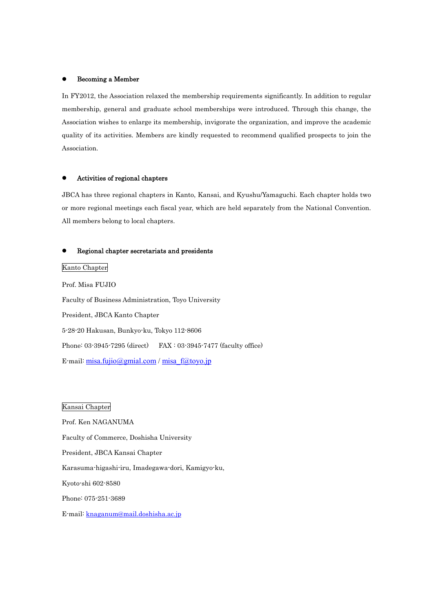#### Becoming a Member

In FY2012, the Association relaxed the membership requirements significantly. In addition to regular membership, general and graduate school memberships were introduced. Through this change, the Association wishes to enlarge its membership, invigorate the organization, and improve the academic quality of its activities. Members are kindly requested to recommend qualified prospects to join the Association.

### Activities of regional chapters

JBCA has three regional chapters in Kanto, Kansai, and Kyushu/Yamaguchi. Each chapter holds two or more regional meetings each fiscal year, which are held separately from the National Convention. All members belong to local chapters.

## Regional chapter secretariats and presidents

Kanto Chapter

Prof. Misa FUJIO Faculty of Business Administration, Toyo University President, JBCA Kanto Chapter 5-28-20 Hakusan, Bunkyo-ku, Tokyo 112-8606 Phone: 03-3945-7295 (direct) FAX : 03-3945-7477 (faculty office) E-mail:  $misa.fujio@gmial.com / misa-f@toyo.jp$ 

Kansai Chapter

Prof. Ken NAGANUMA Faculty of Commerce, Doshisha University President, JBCA Kansai Chapter Karasuma-higashi-iru, Imadegawa-dori, Kamigyo-ku, Kyoto-shi 602-8580 Phone: 075-251-3689 E-mail: knaganum@mail.doshisha.ac.jp